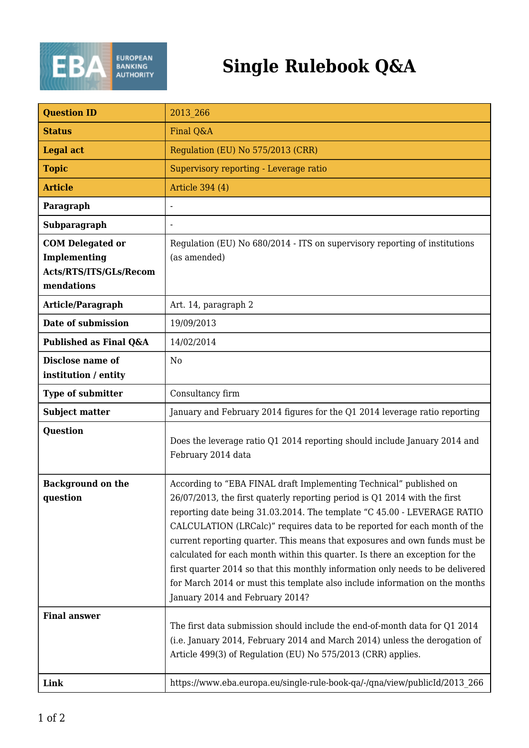

## **Single Rulebook Q&A**

| <b>Question ID</b>                                                              | 2013 266                                                                                                                                                                                                                                                                                                                                                                                                                                                                                                                                                                                                                                                                 |
|---------------------------------------------------------------------------------|--------------------------------------------------------------------------------------------------------------------------------------------------------------------------------------------------------------------------------------------------------------------------------------------------------------------------------------------------------------------------------------------------------------------------------------------------------------------------------------------------------------------------------------------------------------------------------------------------------------------------------------------------------------------------|
| <b>Status</b>                                                                   | Final Q&A                                                                                                                                                                                                                                                                                                                                                                                                                                                                                                                                                                                                                                                                |
| <b>Legal act</b>                                                                | Regulation (EU) No 575/2013 (CRR)                                                                                                                                                                                                                                                                                                                                                                                                                                                                                                                                                                                                                                        |
| <b>Topic</b>                                                                    | Supervisory reporting - Leverage ratio                                                                                                                                                                                                                                                                                                                                                                                                                                                                                                                                                                                                                                   |
| <b>Article</b>                                                                  | Article 394 (4)                                                                                                                                                                                                                                                                                                                                                                                                                                                                                                                                                                                                                                                          |
| Paragraph                                                                       |                                                                                                                                                                                                                                                                                                                                                                                                                                                                                                                                                                                                                                                                          |
| Subparagraph                                                                    | -                                                                                                                                                                                                                                                                                                                                                                                                                                                                                                                                                                                                                                                                        |
| <b>COM</b> Delegated or<br>Implementing<br>Acts/RTS/ITS/GLs/Recom<br>mendations | Regulation (EU) No 680/2014 - ITS on supervisory reporting of institutions<br>(as amended)                                                                                                                                                                                                                                                                                                                                                                                                                                                                                                                                                                               |
| Article/Paragraph                                                               | Art. 14, paragraph 2                                                                                                                                                                                                                                                                                                                                                                                                                                                                                                                                                                                                                                                     |
| Date of submission                                                              | 19/09/2013                                                                                                                                                                                                                                                                                                                                                                                                                                                                                                                                                                                                                                                               |
| Published as Final Q&A                                                          | 14/02/2014                                                                                                                                                                                                                                                                                                                                                                                                                                                                                                                                                                                                                                                               |
| Disclose name of<br>institution / entity                                        | N <sub>0</sub>                                                                                                                                                                                                                                                                                                                                                                                                                                                                                                                                                                                                                                                           |
| <b>Type of submitter</b>                                                        | Consultancy firm                                                                                                                                                                                                                                                                                                                                                                                                                                                                                                                                                                                                                                                         |
| <b>Subject matter</b>                                                           | January and February 2014 figures for the Q1 2014 leverage ratio reporting                                                                                                                                                                                                                                                                                                                                                                                                                                                                                                                                                                                               |
| <b>Question</b>                                                                 | Does the leverage ratio Q1 2014 reporting should include January 2014 and<br>February 2014 data                                                                                                                                                                                                                                                                                                                                                                                                                                                                                                                                                                          |
| <b>Background on the</b><br>question                                            | According to "EBA FINAL draft Implementing Technical" published on<br>26/07/2013, the first quaterly reporting period is Q1 2014 with the first<br>reporting date being 31.03.2014. The template "C 45.00 - LEVERAGE RATIO<br>CALCULATION (LRCalc)" requires data to be reported for each month of the<br>current reporting quarter. This means that exposures and own funds must be<br>calculated for each month within this quarter. Is there an exception for the<br>first quarter 2014 so that this monthly information only needs to be delivered<br>for March 2014 or must this template also include information on the months<br>January 2014 and February 2014? |
| <b>Final answer</b><br>Link                                                     | The first data submission should include the end-of-month data for Q1 2014<br>(i.e. January 2014, February 2014 and March 2014) unless the derogation of<br>Article 499(3) of Regulation (EU) No 575/2013 (CRR) applies.<br>https://www.eba.europa.eu/single-rule-book-qa/-/qna/view/publicId/2013 266                                                                                                                                                                                                                                                                                                                                                                   |
|                                                                                 |                                                                                                                                                                                                                                                                                                                                                                                                                                                                                                                                                                                                                                                                          |